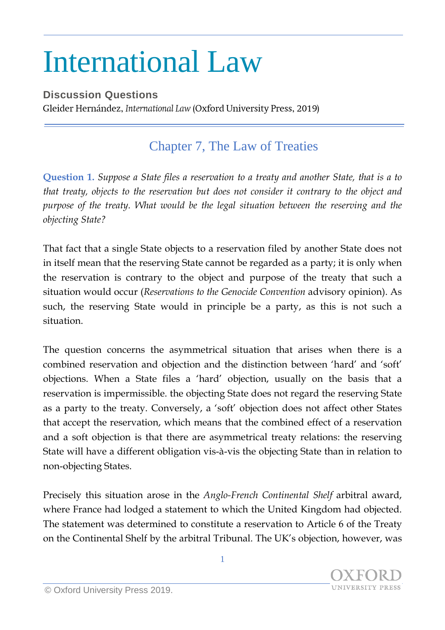## International Law

**Discussion Questions** Gleider Hernández, International Law (Oxford University Press, 2019)

## Chapter 7, The Law of Treaties

**Question 1.** *Suppose a State files a reservation to a treaty and another State, that is a to that treaty, objects to the reservation but does not consider it contrary to the object and purpose of the treaty. What would be the legal situation between the reserving and the objecting State?*

That fact that a single State objects to a reservation filed by another State does not in itself mean that the reserving State cannot be regarded as a party; it is only when the reservation is contrary to the object and purpose of the treaty that such a situation would occur (*Reservations to the Genocide Convention* advisory opinion). As such, the reserving State would in principle be a party, as this is not such a situation.

The question concerns the asymmetrical situation that arises when there is a combined reservation and objection and the distinction between 'hard' and 'soft' objections. When a State files a 'hard' objection, usually on the basis that a reservation is impermissible. the objecting State does not regard the reserving State as a party to the treaty. Conversely, a 'soft' objection does not affect other States that accept the reservation, which means that the combined effect of a reservation and a soft objection is that there are asymmetrical treaty relations: the reserving State will have a different obligation vis-à-vis the objecting State than in relation to non-objecting States.

Precisely this situation arose in the *Anglo-French Continental Shelf* arbitral award, where France had lodged a statement to which the United Kingdom had objected. The statement was determined to constitute a reservation to Article 6 of the Treaty on the Continental Shelf by the arbitral Tribunal. The UK's objection, however, was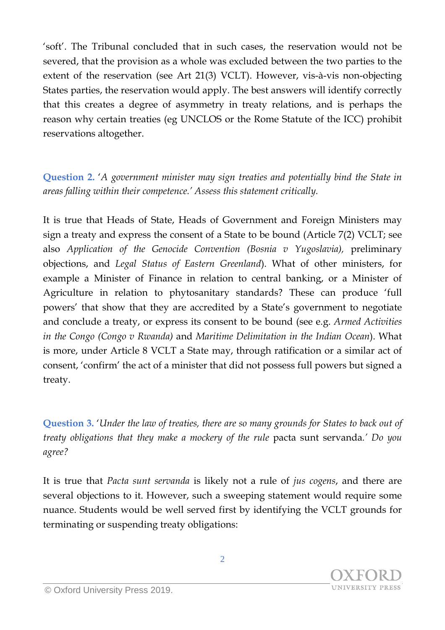'soft'. The Tribunal concluded that in such cases, the reservation would not be severed, that the provision as a whole was excluded between the two parties to the extent of the reservation (see Art 21(3) VCLT). However, vis-à-vis non-objecting States parties, the reservation would apply. The best answers will identify correctly that this creates a degree of asymmetry in treaty relations, and is perhaps the reason why certain treaties (eg UNCLOS or the Rome Statute of the ICC) prohibit reservations altogether.

**Question 2.** '*A government minister may sign treaties and potentially bind the State in areas falling within their competence.' Assess this statement critically.*

It is true that Heads of State, Heads of Government and Foreign Ministers may sign a treaty and express the consent of a State to be bound (Article 7(2) VCLT; see also *Application of the Genocide Convention (Bosnia v Yugoslavia),* preliminary objections, and *Legal Status of Eastern Greenland*). What of other ministers, for example a Minister of Finance in relation to central banking, or a Minister of Agriculture in relation to phytosanitary standards? These can produce 'full powers' that show that they are accredited by a State's government to negotiate and conclude a treaty, or express its consent to be bound (see e.g. *Armed Activities in the Congo (Congo v Rwanda)* and *Maritime Delimitation in the Indian Ocean*). What is more, under Article 8 VCLT a State may, through ratification or a similar act of consent, 'confirm' the act of a minister that did not possess full powers but signed a treaty.

**Question 3.** '*Under the law of treaties, there are so many grounds for States to back out of treaty obligations that they make a mockery of the rule* pacta sunt servanda*.' Do you agree?*

It is true that *Pacta sunt servanda* is likely not a rule of *jus cogens*, and there are several objections to it. However, such a sweeping statement would require some nuance. Students would be well served first by identifying the VCLT grounds for terminating or suspending treaty obligations: